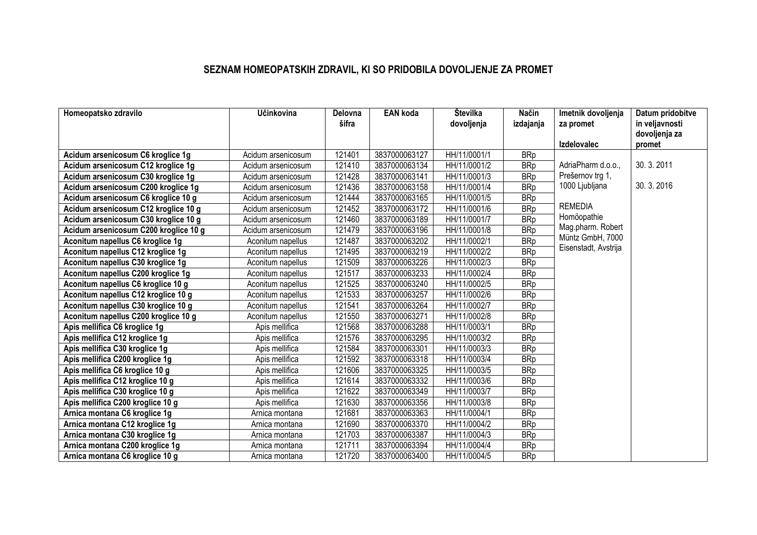## **SEZNAM HOMEOPATSKIH ZDRAVIL, KI SO PRIDOBILA DOVOLJENJE ZA PROMET**

| Homeopatsko zdravilo                  | Učinkovina         | Delovna | <b>EAN</b> koda | Številka     | Način      | Imetnik dovoljenja   | Datum pridobitve |
|---------------------------------------|--------------------|---------|-----------------|--------------|------------|----------------------|------------------|
|                                       |                    | šifra   |                 | dovoljenja   | izdajanja  | za promet            | in veljavnosti   |
|                                       |                    |         |                 |              |            |                      | dovoljenja za    |
|                                       |                    |         |                 |              |            | <b>Izdelovalec</b>   | promet           |
| Acidum arsenicosum C6 kroglice 1g     | Acidum arsenicosum | 121401  | 3837000063127   | HH/11/0001/1 | <b>BRp</b> |                      |                  |
| Acidum arsenicosum C12 kroglice 1g    | Acidum arsenicosum | 121410  | 3837000063134   | HH/11/0001/2 | <b>BRp</b> | AdriaPharm d.o.o.,   | 30.3.2011        |
| Acidum arsenicosum C30 kroglice 1g    | Acidum arsenicosum | 121428  | 3837000063141   | HH/11/0001/3 | <b>BRp</b> | Prešernov trg 1,     |                  |
| Acidum arsenicosum C200 kroglice 1g   | Acidum arsenicosum | 121436  | 3837000063158   | HH/11/0001/4 | <b>BRp</b> | 1000 Ljubljana       | 30.3.2016        |
| Acidum arsenicosum C6 kroglice 10 g   | Acidum arsenicosum | 121444  | 3837000063165   | HH/11/0001/5 | <b>BRp</b> |                      |                  |
| Acidum arsenicosum C12 kroglice 10 g  | Acidum arsenicosum | 121452  | 3837000063172   | HH/11/0001/6 | <b>BRp</b> | <b>REMEDIA</b>       |                  |
| Acidum arsenicosum C30 kroglice 10 g  | Acidum arsenicosum | 121460  | 3837000063189   | HH/11/0001/7 | <b>BRp</b> | Homöopathie          |                  |
| Acidum arsenicosum C200 kroglice 10 g | Acidum arsenicosum | 121479  | 3837000063196   | HH/11/0001/8 | <b>BRp</b> | Mag.pharm. Robert    |                  |
| Aconitum napellus C6 kroglice 1g      | Aconitum napellus  | 121487  | 3837000063202   | HH/11/0002/1 | <b>BRp</b> | Müntz GmbH, 7000     |                  |
| Aconitum napellus C12 kroglice 1g     | Aconitum napellus  | 121495  | 3837000063219   | HH/11/0002/2 | <b>BRp</b> | Eisenstadt, Avstrija |                  |
| Aconitum napellus C30 kroglice 1g     | Aconitum napellus  | 121509  | 3837000063226   | HH/11/0002/3 | <b>BRp</b> |                      |                  |
| Aconitum napellus C200 kroglice 1g    | Aconitum napellus  | 121517  | 3837000063233   | HH/11/0002/4 | <b>BRp</b> |                      |                  |
| Aconitum napellus C6 kroglice 10 g    | Aconitum napellus  | 121525  | 3837000063240   | HH/11/0002/5 | <b>BRp</b> |                      |                  |
| Aconitum napellus C12 kroglice 10 g   | Aconitum napellus  | 121533  | 3837000063257   | HH/11/0002/6 | <b>BRp</b> |                      |                  |
| Aconitum napellus C30 kroglice 10 g   | Aconitum napellus  | 121541  | 3837000063264   | HH/11/0002/7 | <b>BRp</b> |                      |                  |
| Aconitum napellus C200 kroglice 10 g  | Aconitum napellus  | 121550  | 3837000063271   | HH/11/0002/8 | <b>BRp</b> |                      |                  |
| Apis mellifica C6 kroglice 1g         | Apis mellifica     | 121568  | 3837000063288   | HH/11/0003/1 | <b>BRp</b> |                      |                  |
| Apis mellifica C12 kroglice 1g        | Apis mellifica     | 121576  | 3837000063295   | HH/11/0003/2 | <b>BRp</b> |                      |                  |
| Apis mellifica C30 kroglice 1g        | Apis mellifica     | 121584  | 3837000063301   | HH/11/0003/3 | <b>BRp</b> |                      |                  |
| Apis mellifica C200 kroglice 1g       | Apis mellifica     | 121592  | 3837000063318   | HH/11/0003/4 | <b>BRp</b> |                      |                  |
| Apis mellifica C6 kroglice 10 g       | Apis mellifica     | 121606  | 3837000063325   | HH/11/0003/5 | <b>BRp</b> |                      |                  |
| Apis mellifica C12 kroglice 10 g      | Apis mellifica     | 121614  | 3837000063332   | HH/11/0003/6 | <b>BRp</b> |                      |                  |
| Apis mellifica C30 kroglice 10 g      | Apis mellifica     | 121622  | 3837000063349   | HH/11/0003/7 | <b>BRp</b> |                      |                  |
| Apis mellifica C200 kroglice 10 g     | Apis mellifica     | 121630  | 3837000063356   | HH/11/0003/8 | <b>BRp</b> |                      |                  |
| Arnica montana C6 kroglice 1g         | Arnica montana     | 121681  | 3837000063363   | HH/11/0004/1 | <b>BRp</b> |                      |                  |
| Arnica montana C12 kroglice 1g        | Arnica montana     | 121690  | 3837000063370   | HH/11/0004/2 | <b>BRp</b> |                      |                  |
| Arnica montana C30 kroglice 1g        | Arnica montana     | 121703  | 3837000063387   | HH/11/0004/3 | <b>BRp</b> |                      |                  |
| Arnica montana C200 kroglice 1g       | Arnica montana     | 121711  | 3837000063394   | HH/11/0004/4 | <b>BRp</b> |                      |                  |
| Arnica montana C6 kroglice 10 g       | Arnica montana     | 121720  | 3837000063400   | HH/11/0004/5 | <b>BRp</b> |                      |                  |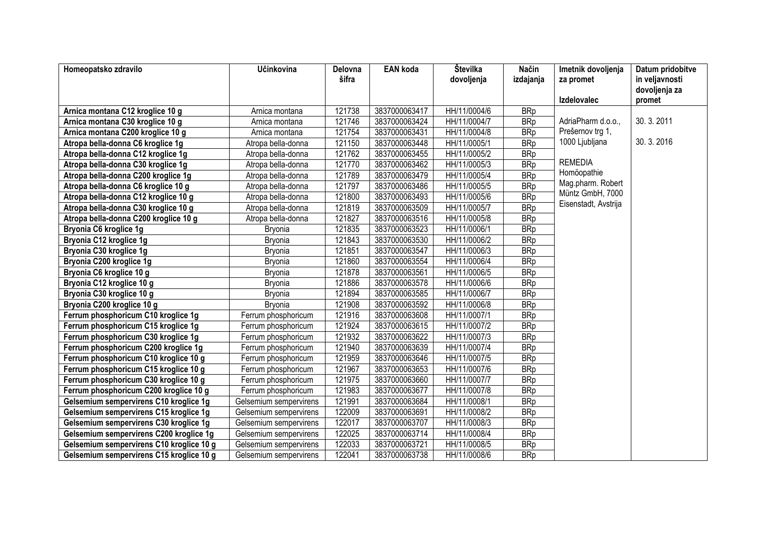| Homeopatsko zdravilo                     | Učinkovina             | Delovna | <b>EAN</b> koda | Številka     | Način      | Imetnik dovoljenja   | Datum pridobitve        |
|------------------------------------------|------------------------|---------|-----------------|--------------|------------|----------------------|-------------------------|
|                                          |                        | šifra   |                 | dovoljenja   | izdajanja  | za promet            | in veljavnosti          |
|                                          |                        |         |                 |              |            | <b>Izdelovalec</b>   | dovoljenja za<br>promet |
| Arnica montana C12 kroglice 10 g         | Arnica montana         | 121738  | 3837000063417   | HH/11/0004/6 | <b>BRp</b> |                      |                         |
| Arnica montana C30 kroglice 10 g         | Arnica montana         | 121746  | 3837000063424   | HH/11/0004/7 | <b>BRp</b> | AdriaPharm d.o.o.,   | 30.3.2011               |
| Arnica montana C200 kroglice 10 g        | Arnica montana         | 121754  | 3837000063431   | HH/11/0004/8 | <b>BRp</b> | Prešernov trg 1,     |                         |
| Atropa bella-donna C6 kroglice 1g        | Atropa bella-donna     | 121150  | 3837000063448   | HH/11/0005/1 | <b>BRp</b> | 1000 Ljubljana       | 30.3.2016               |
| Atropa bella-donna C12 kroglice 1g       | Atropa bella-donna     | 121762  | 3837000063455   | HH/11/0005/2 | <b>BRp</b> |                      |                         |
| Atropa bella-donna C30 kroglice 1g       | Atropa bella-donna     | 121770  | 3837000063462   | HH/11/0005/3 | <b>BRp</b> | <b>REMEDIA</b>       |                         |
| Atropa bella-donna C200 kroglice 1g      | Atropa bella-donna     | 121789  | 3837000063479   | HH/11/0005/4 | <b>BRp</b> | Homöopathie          |                         |
| Atropa bella-donna C6 kroglice 10 g      | Atropa bella-donna     | 121797  | 3837000063486   | HH/11/0005/5 | <b>BRp</b> | Mag.pharm. Robert    |                         |
| Atropa bella-donna C12 kroglice 10 g     | Atropa bella-donna     | 121800  | 3837000063493   | HH/11/0005/6 | <b>BRp</b> | Müntz GmbH, 7000     |                         |
| Atropa bella-donna C30 kroglice 10 g     | Atropa bella-donna     | 121819  | 3837000063509   | HH/11/0005/7 | <b>BRp</b> | Eisenstadt, Avstrija |                         |
| Atropa bella-donna C200 kroglice 10 g    | Atropa bella-donna     | 121827  | 3837000063516   | HH/11/0005/8 | <b>BRp</b> |                      |                         |
| Bryonia C6 kroglice 1g                   | <b>Bryonia</b>         | 121835  | 3837000063523   | HH/11/0006/1 | <b>BRp</b> |                      |                         |
| Bryonia C12 kroglice 1g                  | <b>Bryonia</b>         | 121843  | 3837000063530   | HH/11/0006/2 | <b>BRp</b> |                      |                         |
| Bryonia C30 kroglice 1g                  | <b>Bryonia</b>         | 121851  | 3837000063547   | HH/11/0006/3 | <b>BRp</b> |                      |                         |
| Bryonia C200 kroglice 1g                 | <b>Bryonia</b>         | 121860  | 3837000063554   | HH/11/0006/4 | <b>BRp</b> |                      |                         |
| Bryonia C6 kroglice 10 g                 | <b>Bryonia</b>         | 121878  | 3837000063561   | HH/11/0006/5 | <b>BRp</b> |                      |                         |
| Bryonia C12 kroglice 10 g                | <b>Bryonia</b>         | 121886  | 3837000063578   | HH/11/0006/6 | <b>BRp</b> |                      |                         |
| Bryonia C30 kroglice 10 g                | <b>Bryonia</b>         | 121894  | 3837000063585   | HH/11/0006/7 | <b>BRp</b> |                      |                         |
| Bryonia C200 kroglice 10 g               | <b>Bryonia</b>         | 121908  | 3837000063592   | HH/11/0006/8 | <b>BRp</b> |                      |                         |
| Ferrum phosphoricum C10 kroglice 1g      | Ferrum phosphoricum    | 121916  | 3837000063608   | HH/11/0007/1 | <b>BRp</b> |                      |                         |
| Ferrum phosphoricum C15 kroglice 1g      | Ferrum phosphoricum    | 121924  | 3837000063615   | HH/11/0007/2 | <b>BRp</b> |                      |                         |
| Ferrum phosphoricum C30 kroglice 1g      | Ferrum phosphoricum    | 121932  | 3837000063622   | HH/11/0007/3 | <b>BRp</b> |                      |                         |
| Ferrum phosphoricum C200 kroglice 1g     | Ferrum phosphoricum    | 121940  | 3837000063639   | HH/11/0007/4 | <b>BRp</b> |                      |                         |
| Ferrum phosphoricum C10 kroglice 10 g    | Ferrum phosphoricum    | 121959  | 3837000063646   | HH/11/0007/5 | <b>BRp</b> |                      |                         |
| Ferrum phosphoricum C15 kroglice 10 g    | Ferrum phosphoricum    | 121967  | 3837000063653   | HH/11/0007/6 | <b>BRp</b> |                      |                         |
| Ferrum phosphoricum C30 kroglice 10 g    | Ferrum phosphoricum    | 121975  | 3837000063660   | HH/11/0007/7 | <b>BRp</b> |                      |                         |
| Ferrum phosphoricum C200 kroglice 10 g   | Ferrum phosphoricum    | 121983  | 3837000063677   | HH/11/0007/8 | <b>BRp</b> |                      |                         |
| Gelsemium sempervirens C10 kroglice 1g   | Gelsemium sempervirens | 121991  | 3837000063684   | HH/11/0008/1 | <b>BRp</b> |                      |                         |
| Gelsemium sempervirens C15 kroglice 1g   | Gelsemium sempervirens | 122009  | 3837000063691   | HH/11/0008/2 | <b>BRp</b> |                      |                         |
| Gelsemium sempervirens C30 kroglice 1g   | Gelsemium sempervirens | 122017  | 3837000063707   | HH/11/0008/3 | <b>BRp</b> |                      |                         |
| Gelsemium sempervirens C200 kroglice 1g  | Gelsemium sempervirens | 122025  | 3837000063714   | HH/11/0008/4 | <b>BRp</b> |                      |                         |
| Gelsemium sempervirens C10 kroglice 10 g | Gelsemium sempervirens | 122033  | 3837000063721   | HH/11/0008/5 | <b>BRp</b> |                      |                         |
| Gelsemium sempervirens C15 kroglice 10 g | Gelsemium sempervirens | 122041  | 3837000063738   | HH/11/0008/6 | <b>BRp</b> |                      |                         |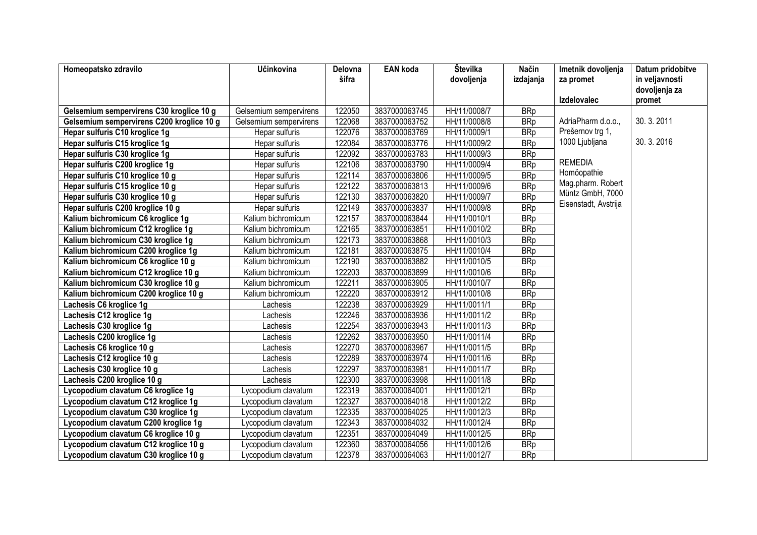| Homeopatsko zdravilo                      | Učinkovina             | Delovna | <b>EAN</b> koda | Številka     | Način      | Imetnik dovoljenja   | Datum pridobitve        |
|-------------------------------------------|------------------------|---------|-----------------|--------------|------------|----------------------|-------------------------|
|                                           |                        | šifra   |                 | dovoljenja   | izdajanja  | za promet            | in veljavnosti          |
|                                           |                        |         |                 |              |            | <b>Izdelovalec</b>   | dovoljenja za<br>promet |
| Gelsemium sempervirens C30 kroglice 10 g  | Gelsemium sempervirens | 122050  | 3837000063745   | HH/11/0008/7 | <b>BRp</b> |                      |                         |
| Gelsemium sempervirens C200 kroglice 10 g | Gelsemium sempervirens | 122068  | 3837000063752   | HH/11/0008/8 | <b>BRp</b> | AdriaPharm d.o.o.,   | 30.3.2011               |
| Hepar sulfuris C10 kroglice 1g            | Hepar sulfuris         | 122076  | 3837000063769   | HH/11/0009/1 | <b>BRp</b> | Prešernov trg 1,     |                         |
| Hepar sulfuris C15 kroglice 1g            | Hepar sulfuris         | 122084  | 3837000063776   | HH/11/0009/2 | <b>BRp</b> | 1000 Ljubljana       | 30.3.2016               |
| Hepar sulfuris C30 kroglice 1g            | Hepar sulfuris         | 122092  | 3837000063783   | HH/11/0009/3 | <b>BRp</b> |                      |                         |
| Hepar sulfuris C200 kroglice 1g           | Hepar sulfuris         | 122106  | 3837000063790   | HH/11/0009/4 | <b>BRp</b> | <b>REMEDIA</b>       |                         |
| Hepar sulfuris C10 kroglice 10 g          | Hepar sulfuris         | 122114  | 3837000063806   | HH/11/0009/5 | <b>BRp</b> | Homöopathie          |                         |
| Hepar sulfuris C15 kroglice 10 g          | Hepar sulfuris         | 122122  | 3837000063813   | HH/11/0009/6 | <b>BRp</b> | Mag.pharm. Robert    |                         |
| Hepar sulfuris C30 kroglice 10 g          | Hepar sulfuris         | 122130  | 3837000063820   | HH/11/0009/7 | <b>BRp</b> | Müntz GmbH, 7000     |                         |
| Hepar sulfuris C200 kroglice 10 g         | Hepar sulfuris         | 122149  | 3837000063837   | HH/11/0009/8 | <b>BRp</b> | Eisenstadt, Avstrija |                         |
| Kalium bichromicum C6 kroglice 1g         | Kalium bichromicum     | 122157  | 3837000063844   | HH/11/0010/1 | <b>BRp</b> |                      |                         |
| Kalium bichromicum C12 kroglice 1g        | Kalium bichromicum     | 122165  | 3837000063851   | HH/11/0010/2 | <b>BRp</b> |                      |                         |
| Kalium bichromicum C30 kroglice 1g        | Kalium bichromicum     | 122173  | 3837000063868   | HH/11/0010/3 | <b>BRp</b> |                      |                         |
| Kalium bichromicum C200 kroglice 1g       | Kalium bichromicum     | 122181  | 3837000063875   | HH/11/0010/4 | <b>BRp</b> |                      |                         |
| Kalium bichromicum C6 kroglice 10 g       | Kalium bichromicum     | 122190  | 3837000063882   | HH/11/0010/5 | <b>BRp</b> |                      |                         |
| Kalium bichromicum C12 kroglice 10 g      | Kalium bichromicum     | 122203  | 3837000063899   | HH/11/0010/6 | <b>BRp</b> |                      |                         |
| Kalium bichromicum C30 kroglice 10 g      | Kalium bichromicum     | 122211  | 3837000063905   | HH/11/0010/7 | <b>BRp</b> |                      |                         |
| Kalium bichromicum C200 kroglice 10 g     | Kalium bichromicum     | 122220  | 3837000063912   | HH/11/0010/8 | <b>BRp</b> |                      |                         |
| Lachesis C6 kroglice 1g                   | Lachesis               | 122238  | 3837000063929   | HH/11/0011/1 | <b>BRp</b> |                      |                         |
| Lachesis C12 kroglice 1g                  | Lachesis               | 122246  | 3837000063936   | HH/11/0011/2 | <b>BRp</b> |                      |                         |
| Lachesis C30 kroglice 1g                  | Lachesis               | 122254  | 3837000063943   | HH/11/0011/3 | <b>BRp</b> |                      |                         |
| Lachesis C200 kroglice 1g                 | Lachesis               | 122262  | 3837000063950   | HH/11/0011/4 | <b>BRp</b> |                      |                         |
| Lachesis C6 kroglice 10 g                 | Lachesis               | 122270  | 3837000063967   | HH/11/0011/5 | <b>BRp</b> |                      |                         |
| Lachesis C12 kroglice 10 g                | Lachesis               | 122289  | 3837000063974   | HH/11/0011/6 | <b>BRp</b> |                      |                         |
| Lachesis C30 kroglice 10 g                | Lachesis               | 122297  | 3837000063981   | HH/11/0011/7 | <b>BRp</b> |                      |                         |
| Lachesis C200 kroglice 10 g               | Lachesis               | 122300  | 3837000063998   | HH/11/0011/8 | <b>BRp</b> |                      |                         |
| Lycopodium clavatum C6 kroglice 1g        | Lycopodium clavatum    | 122319  | 3837000064001   | HH/11/0012/1 | <b>BRp</b> |                      |                         |
| Lycopodium clavatum C12 kroglice 1g       | Lycopodium clavatum    | 122327  | 3837000064018   | HH/11/0012/2 | <b>BRp</b> |                      |                         |
| Lycopodium clavatum C30 kroglice 1g       | Lycopodium clavatum    | 122335  | 3837000064025   | HH/11/0012/3 | <b>BRp</b> |                      |                         |
| Lycopodium clavatum C200 kroglice 1g      | Lycopodium clavatum    | 122343  | 3837000064032   | HH/11/0012/4 | <b>BRp</b> |                      |                         |
| Lycopodium clavatum C6 kroglice 10 g      | Lycopodium clavatum    | 122351  | 3837000064049   | HH/11/0012/5 | <b>BRp</b> |                      |                         |
| Lycopodium clavatum C12 kroglice 10 g     | Lycopodium clavatum    | 122360  | 3837000064056   | HH/11/0012/6 | <b>BRp</b> |                      |                         |
| Lycopodium clavatum C30 kroglice 10 g     | Lycopodium clavatum    | 122378  | 3837000064063   | HH/11/0012/7 | <b>BRp</b> |                      |                         |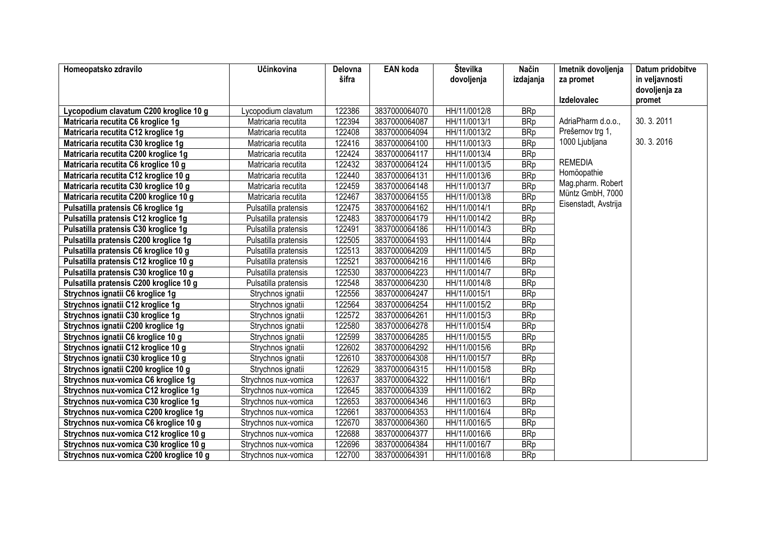| Homeopatsko zdravilo                    | Učinkovina           | Delovna | <b>EAN</b> koda | Številka     | Način      | Imetnik dovoljenja   | Datum pridobitve        |
|-----------------------------------------|----------------------|---------|-----------------|--------------|------------|----------------------|-------------------------|
|                                         |                      | šifra   |                 | dovoljenja   | izdajanja  | za promet            | in veljavnosti          |
|                                         |                      |         |                 |              |            | <b>Izdelovalec</b>   | dovoljenja za<br>promet |
| Lycopodium clavatum C200 kroglice 10 g  | Lycopodium clavatum  | 122386  | 3837000064070   | HH/11/0012/8 | <b>BRp</b> |                      |                         |
| Matricaria recutita C6 kroglice 1g      | Matricaria recutita  | 122394  | 3837000064087   | HH/11/0013/1 | <b>BRp</b> | AdriaPharm d.o.o.,   | 30.3.2011               |
| Matricaria recutita C12 kroglice 1g     | Matricaria recutita  | 122408  | 3837000064094   | HH/11/0013/2 | <b>BRp</b> | Prešernov trg 1,     |                         |
| Matricaria recutita C30 kroglice 1g     | Matricaria recutita  | 122416  | 3837000064100   | HH/11/0013/3 | <b>BRp</b> | 1000 Ljubljana       | 30.3.2016               |
| Matricaria recutita C200 kroglice 1g    | Matricaria recutita  | 122424  | 3837000064117   | HH/11/0013/4 | <b>BRp</b> |                      |                         |
| Matricaria recutita C6 kroglice 10 g    | Matricaria recutita  | 122432  | 3837000064124   | HH/11/0013/5 | <b>BRp</b> | <b>REMEDIA</b>       |                         |
| Matricaria recutita C12 kroglice 10 g   | Matricaria recutita  | 122440  | 3837000064131   | HH/11/0013/6 | <b>BRp</b> | Homöopathie          |                         |
| Matricaria recutita C30 kroglice 10 g   | Matricaria recutita  | 122459  | 3837000064148   | HH/11/0013/7 | <b>BRp</b> | Mag.pharm. Robert    |                         |
| Matricaria recutita C200 kroglice 10 g  | Matricaria recutita  | 122467  | 3837000064155   | HH/11/0013/8 | <b>BRp</b> | Müntz GmbH, 7000     |                         |
| Pulsatilla pratensis C6 kroglice 1g     | Pulsatilla pratensis | 122475  | 3837000064162   | HH/11/0014/1 | <b>BRp</b> | Eisenstadt, Avstrija |                         |
| Pulsatilla pratensis C12 kroglice 1g    | Pulsatilla pratensis | 122483  | 3837000064179   | HH/11/0014/2 | <b>BRp</b> |                      |                         |
| Pulsatilla pratensis C30 kroglice 1g    | Pulsatilla pratensis | 122491  | 3837000064186   | HH/11/0014/3 | <b>BRp</b> |                      |                         |
| Pulsatilla pratensis C200 kroglice 1g   | Pulsatilla pratensis | 122505  | 3837000064193   | HH/11/0014/4 | <b>BRp</b> |                      |                         |
| Pulsatilla pratensis C6 kroglice 10 g   | Pulsatilla pratensis | 122513  | 3837000064209   | HH/11/0014/5 | <b>BRp</b> |                      |                         |
| Pulsatilla pratensis C12 kroglice 10 g  | Pulsatilla pratensis | 122521  | 3837000064216   | HH/11/0014/6 | <b>BRp</b> |                      |                         |
| Pulsatilla pratensis C30 kroglice 10 g  | Pulsatilla pratensis | 122530  | 3837000064223   | HH/11/0014/7 | <b>BRp</b> |                      |                         |
| Pulsatilla pratensis C200 kroglice 10 g | Pulsatilla pratensis | 122548  | 3837000064230   | HH/11/0014/8 | <b>BRp</b> |                      |                         |
| Strychnos ignatii C6 kroglice 1g        | Strychnos ignatii    | 122556  | 3837000064247   | HH/11/0015/1 | <b>BRp</b> |                      |                         |
| Strychnos ignatii C12 kroglice 1g       | Strychnos ignatii    | 122564  | 3837000064254   | HH/11/0015/2 | <b>BRp</b> |                      |                         |
| Strychnos ignatii C30 kroglice 1g       | Strychnos ignatii    | 122572  | 3837000064261   | HH/11/0015/3 | <b>BRp</b> |                      |                         |
| Strychnos ignatii C200 kroglice 1g      | Strychnos ignatii    | 122580  | 3837000064278   | HH/11/0015/4 | <b>BRp</b> |                      |                         |
| Strychnos ignatii C6 kroglice 10 g      | Strychnos ignatii    | 122599  | 3837000064285   | HH/11/0015/5 | <b>BRp</b> |                      |                         |
| Strychnos ignatii C12 kroglice 10 g     | Strychnos ignatii    | 122602  | 3837000064292   | HH/11/0015/6 | <b>BRp</b> |                      |                         |
| Strychnos ignatii C30 kroglice 10 g     | Strychnos ignatii    | 122610  | 3837000064308   | HH/11/0015/7 | <b>BRp</b> |                      |                         |
| Strychnos ignatii C200 kroglice 10 g    | Strychnos ignatii    | 122629  | 3837000064315   | HH/11/0015/8 | <b>BRp</b> |                      |                         |
| Strychnos nux-vomica C6 kroglice 1g     | Strychnos nux-vomica | 122637  | 3837000064322   | HH/11/0016/1 | <b>BRp</b> |                      |                         |
| Strychnos nux-vomica C12 kroglice 1g    | Strychnos nux-vomica | 122645  | 3837000064339   | HH/11/0016/2 | <b>BRp</b> |                      |                         |
| Strychnos nux-vomica C30 kroglice 1g    | Strychnos nux-vomica | 122653  | 3837000064346   | HH/11/0016/3 | <b>BRp</b> |                      |                         |
| Strychnos nux-vomica C200 kroglice 1g   | Strychnos nux-vomica | 122661  | 3837000064353   | HH/11/0016/4 | <b>BRp</b> |                      |                         |
| Strychnos nux-vomica C6 kroglice 10 g   | Strychnos nux-vomica | 122670  | 3837000064360   | HH/11/0016/5 | <b>BRp</b> |                      |                         |
| Strychnos nux-vomica C12 kroglice 10 g  | Strychnos nux-vomica | 122688  | 3837000064377   | HH/11/0016/6 | <b>BRp</b> |                      |                         |
| Strychnos nux-vomica C30 kroglice 10 g  | Strychnos nux-vomica | 122696  | 3837000064384   | HH/11/0016/7 | <b>BRp</b> |                      |                         |
| Strychnos nux-vomica C200 kroglice 10 g | Strychnos nux-vomica | 122700  | 3837000064391   | HH/11/0016/8 | <b>BRp</b> |                      |                         |